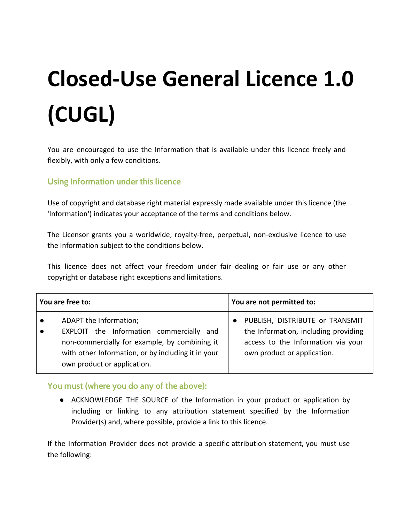# **Closed-Use General Licence 1.0 (CUGL)**

You are encouraged to use the Information that is available under this licence freely and flexibly, with only a few conditions.

## **Using Information under this licence**

Use of copyright and database right material expressly made available under this licence (the 'Information') indicates your acceptance of the terms and conditions below.

The Licensor grants you a worldwide, royalty-free, perpetual, non-exclusive licence to use the Information subject to the conditions below.

This licence does not affect your freedom under fair dealing or fair use or any other copyright or database right exceptions and limitations.

| You are free to:                                                                                                                                                                                         | You are not permitted to:                                                                                                                    |
|----------------------------------------------------------------------------------------------------------------------------------------------------------------------------------------------------------|----------------------------------------------------------------------------------------------------------------------------------------------|
| ADAPT the Information;<br>EXPLOIT the Information commercially and<br>non-commercially for example, by combining it<br>with other Information, or by including it in your<br>own product or application. | PUBLISH, DISTRIBUTE or TRANSMIT<br>the Information, including providing<br>access to the Information via your<br>own product or application. |

## **You must (where you do any of the above):**

● ACKNOWLEDGE THE SOURCE of the Information in your product or application by including or linking to any attribution statement specified by the Information Provider(s) and, where possible, provide a link to this licence.

If the Information Provider does not provide a specific attribution statement, you must use the following: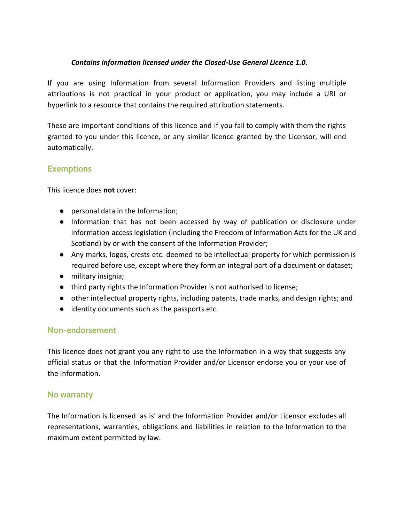#### *Contains information licensed under the Closed-Use General Licence 1.0.*

If you are using Information from several Information Providers and listing multiple attributions is not practical in your product or application, you may include a URI or hyperlink to a resource that contains the required attribution statements.

These are important conditions of this licence and if you fail to comply with them the rights granted to you under this licence, or any similar licence granted by the Licensor, will end automatically.

# **Exemptions**

This licence does **not** cover:

- personal data in the Information;
- Information that has not been accessed by way of publication or disclosure under information access legislation (including the Freedom of Information Acts for the UK and Scotland) by or with the consent of the Information Provider;
- Any marks, logos, crests etc. deemed to be intellectual property for which permission is required before use, except where they form an integral part of a document or dataset;
- military insignia;
- third party rights the Information Provider is not authorised to license;
- other intellectual property rights, including patents, trade marks, and design rights; and
- identity documents such as the passports etc.

#### **Non-endorsement**

This licence does not grant you any right to use the Information in a way that suggests any official status or that the Information Provider and/or Licensor endorse you or your use of the Information.

#### **No warranty**

The Information is licensed 'as is' and the Information Provider and/or Licensor excludes all representations, warranties, obligations and liabilities in relation to the Information to the maximum extent permitted by law.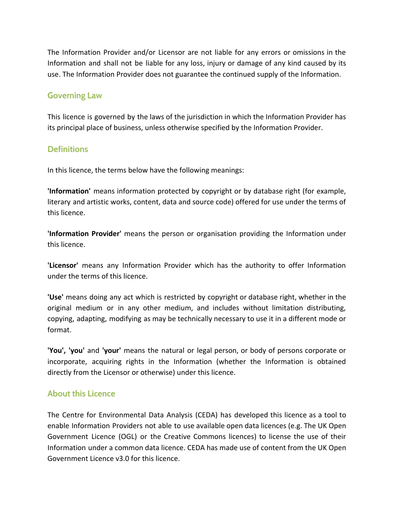The Information Provider and/or Licensor are not liable for any errors or omissions in the Information and shall not be liable for any loss, injury or damage of any kind caused by its use. The Information Provider does not guarantee the continued supply of the Information.

### **Governing Law**

This licence is governed by the laws of the jurisdiction in which the Information Provider has its principal place of business, unless otherwise specified by the Information Provider.

# **Definitions**

In this licence, the terms below have the following meanings:

**'Information'** means information protected by copyright or by database right (for example, literary and artistic works, content, data and source code) offered for use under the terms of this licence.

**'Information Provider'** means the person or organisation providing the Information under this licence.

**'Licensor'** means any Information Provider which has the authority to offer Information under the terms of this licence.

**'Use'** means doing any act which is restricted by copyright or database right, whether in the original medium or in any other medium, and includes without limitation distributing, copying, adapting, modifying as may be technically necessary to use it in a different mode or format.

**'You', 'you'** and **'your'** means the natural or legal person, or body of persons corporate or incorporate, acquiring rights in the Information (whether the Information is obtained directly from the Licensor or otherwise) under this licence.

# **About this Licence**

The Centre for Environmental Data Analysis (CEDA) has developed this licence as a tool to enable Information Providers not able to use available open data licences (e.g. The UK Open Government Licence (OGL) or the Creative Commons licences) to license the use of their Information under a common data licence. CEDA has made use of content from the UK Open Government Licence v3.0 for this licence.